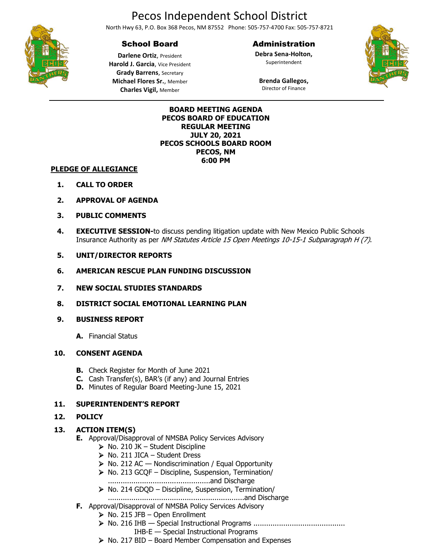# Pecos Independent School District

North Hwy 63, P.O. Box 368 Pecos, NM 87552 Phone: 505-757-4700 Fax: 505-757-8721

# School Board

#### Administration

**Debra Sena-Holton,** Superintendent



**Darlene Ortiz**, President **Harold J. Garcia**, Vice President **Grady Barrens**, Secretary **Michael Flores Sr.**, Member **Charles Vigil,** Member

#### **Brenda Gallegos,** Director of Finance

#### **BOARD MEETING AGENDA PECOS BOARD OF EDUCATION REGULAR MEETING JULY 20, 2021 PECOS SCHOOLS BOARD ROOM PECOS, NM 6:00 PM**

#### **PLEDGE OF ALLEGIANCE**

- **1. CALL TO ORDER**
- **2. APPROVAL OF AGENDA**
- **3. PUBLIC COMMENTS**
- **4. EXECUTIVE SESSION-**to discuss pending litigation update with New Mexico Public Schools Insurance Authority as per NM Statutes Article 15 Open Meetings 10-15-1 Subparagraph H (7).

#### **5. UNIT/DIRECTOR REPORTS**

- **6. AMERICAN RESCUE PLAN FUNDING DISCUSSION**
- **7. NEW SOCIAL STUDIES STANDARDS**
- **8. DISTRICT SOCIAL EMOTIONAL LEARNING PLAN**

#### **9. BUSINESS REPORT**

**A.** Financial Status

#### **10. CONSENT AGENDA**

- **B.** Check Register for Month of June 2021
- **C.** Cash Transfer(s), BAR's (if any) and Journal Entries
- **D.** Minutes of Regular Board Meeting-June 15, 2021

#### **11. SUPERINTENDENT'S REPORT**

#### **12. POLICY**

#### **13. ACTION ITEM(S)**

- **E.** Approval/Disapproval of NMSBA Policy Services Advisory
	- $\triangleright$  No. 210 JK Student Discipline
	- ➢ No. 211 JICA Student Dress
	- $\triangleright$  No. 212 AC Nondiscrimination / Equal Opportunity
	- ➢ No. 213 GCQF Discipline, Suspension, Termination/
		- ................................................and Discharge
	- ➢ No. 214 GDQD Discipline, Suspension, Termination/
	- ................................................................and Discharge
- **F.** Approval/Disapproval of NMSBA Policy Services Advisory
	- $\triangleright$  No. 215 JFB Open Enrollment
	- ➢ No. 216 IHB Special Instructional Programs ........................................... IHB-E — Special Instructional Programs
	- ➢ No. 217 BID Board Member Compensation and Expenses

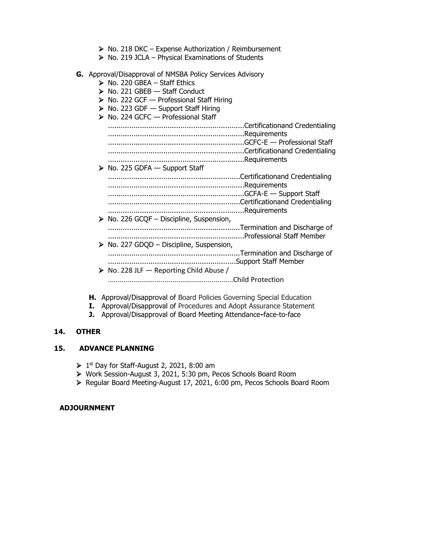- ➢ No. 218 DKC Expense Authorization / Reimbursement
- $\triangleright$  No. 219 JCLA Physical Examinations of Students
- **G.** Approval/Disapproval of NMSBA Policy Services Advisory
	- $\triangleright$  No. 220 GBEA Staff Ethics
	- $\triangleright$  No. 221 GBEB  $-$  Staff Conduct
	- ➢ No. 222 GCF Professional Staff Hiring
	- ➢ No. 223 GDF Support Staff Hiring
	- ➢ No. 224 GCFC Professional Staff

................................................................Certificationand Credentialing ................................................................Requirements ................................................................GCFC-E — Professional Staff ................................................................Certificationand Credentialing ................................................................Requirements  $\triangleright$  No. 225 GDFA — Support Staff ..............................................................Certificationand Credentialing ................................................................Requirements ................................................................GCFA-E — Support Staff ..............................................................Certificationand Credentialing ................................................................Requirements  $\triangleright$  No. 226 GCOF – Discipline, Suspension, ..............................................................Termination and Discharge of ................................................................Professional Staff Member ➢ No. 227 GDQD – Discipline, Suspension, ..............................................................Termination and Discharge of ............................................................Support Staff Member  $\triangleright$  No. 228 JLF — Reporting Child Abuse / ................................................................Child Protection

- **H.** Approval/Disapproval of Board Policies Governing Special Education
- **I.** Approval/Disapproval of Procedures and Adopt Assurance Statement
- **J.** Approval/Disapproval of Board Meeting Attendance**-**face-to-face

#### **14. OTHER**

#### **15. ADVANCE PLANNING**

- $\triangleright$  1<sup>st</sup> Day for Staff-August 2, 2021, 8:00 am
- ➢ Work Session-August 3, 2021, 5:30 pm, Pecos Schools Board Room
- ➢ Regular Board Meeting-August 17, 2021, 6:00 pm, Pecos Schools Board Room

#### **ADJOURNMENT**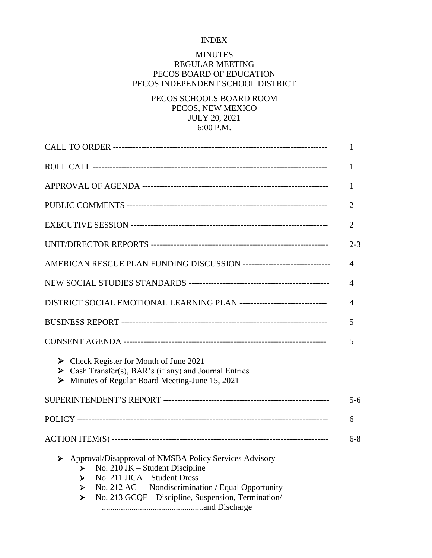## INDEX

## MINUTES REGULAR MEETING PECOS BOARD OF EDUCATION PECOS INDEPENDENT SCHOOL DISTRICT

# PECOS SCHOOLS BOARD ROOM PECOS, NEW MEXICO JULY 20, 2021 6:00 P.M.

|                                                                                                                                                                                                                                                                 | 1              |
|-----------------------------------------------------------------------------------------------------------------------------------------------------------------------------------------------------------------------------------------------------------------|----------------|
|                                                                                                                                                                                                                                                                 | $\mathbf{1}$   |
|                                                                                                                                                                                                                                                                 | $\mathbf{1}$   |
|                                                                                                                                                                                                                                                                 | $\overline{2}$ |
|                                                                                                                                                                                                                                                                 | 2              |
|                                                                                                                                                                                                                                                                 | $2 - 3$        |
| AMERICAN RESCUE PLAN FUNDING DISCUSSION -------------------------------                                                                                                                                                                                         | 4              |
|                                                                                                                                                                                                                                                                 | 4              |
| DISTRICT SOCIAL EMOTIONAL LEARNING PLAN -------------------------------                                                                                                                                                                                         | 4              |
|                                                                                                                                                                                                                                                                 | 5              |
|                                                                                                                                                                                                                                                                 | 5              |
| $\triangleright$ Check Register for Month of June 2021<br>Solution Cash Transfer(s), BAR's (if any) and Journal Entries<br>Minutes of Regular Board Meeting-June 15, 2021<br>➤                                                                                  |                |
|                                                                                                                                                                                                                                                                 | $5 - 6$        |
|                                                                                                                                                                                                                                                                 | 6              |
|                                                                                                                                                                                                                                                                 | $6 - 8$        |
| Approval/Disapproval of NMSBA Policy Services Advisory<br>➤<br>No. 210 JK - Student Discipline<br>⋗<br>No. 211 JICA - Student Dress<br>≻<br>No. 212 AC — Nondiscrimination / Equal Opportunity<br>➤<br>No. 213 GCQF - Discipline, Suspension, Termination/<br>≻ |                |

................................................and Discharge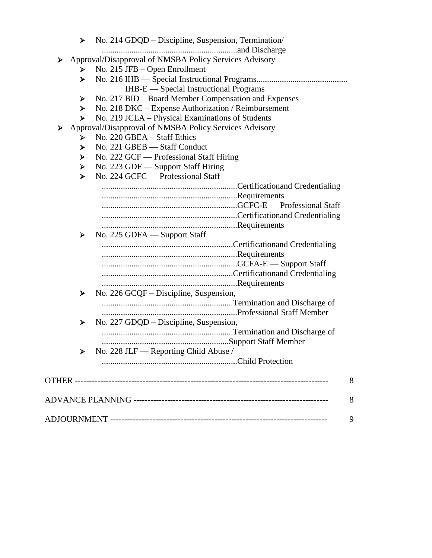| Approval/Disapproval of NMSBA Policy Services Advisory<br>➤<br>No. 215 JFB – Open Enrollment<br>➤<br>≻<br>IHB-E — Special Instructional Programs<br>No. 217 BID – Board Member Compensation and Expenses<br>➤<br>No. 218 DKC – Expense Authorization / Reimbursement<br>➤<br>No. 219 JCLA - Physical Examinations of Students<br>≻<br>Approval/Disapproval of NMSBA Policy Services Advisory<br>➤<br>No. 220 GBEA – Staff Ethics<br>≻<br>No. 221 GBEB - Staff Conduct<br>≻<br>No. 222 GCF - Professional Staff Hiring<br>➤<br>No. 223 GDF - Support Staff Hiring<br>➤<br>No. 224 GCFC — Professional Staff<br>≻<br>No. 225 GDFA — Support Staff<br>≻<br>No. 226 GCQF – Discipline, Suspension,<br>➤<br>No. 227 GDQD - Discipline, Suspension,<br>≻<br>No. 228 JLF — Reporting Child Abuse / | ≻ | No. 214 GDQD – Discipline, Suspension, Termination/ |
|---------------------------------------------------------------------------------------------------------------------------------------------------------------------------------------------------------------------------------------------------------------------------------------------------------------------------------------------------------------------------------------------------------------------------------------------------------------------------------------------------------------------------------------------------------------------------------------------------------------------------------------------------------------------------------------------------------------------------------------------------------------------------------------------|---|-----------------------------------------------------|
|                                                                                                                                                                                                                                                                                                                                                                                                                                                                                                                                                                                                                                                                                                                                                                                             |   |                                                     |
|                                                                                                                                                                                                                                                                                                                                                                                                                                                                                                                                                                                                                                                                                                                                                                                             |   |                                                     |
|                                                                                                                                                                                                                                                                                                                                                                                                                                                                                                                                                                                                                                                                                                                                                                                             |   |                                                     |
|                                                                                                                                                                                                                                                                                                                                                                                                                                                                                                                                                                                                                                                                                                                                                                                             |   |                                                     |
|                                                                                                                                                                                                                                                                                                                                                                                                                                                                                                                                                                                                                                                                                                                                                                                             |   |                                                     |
|                                                                                                                                                                                                                                                                                                                                                                                                                                                                                                                                                                                                                                                                                                                                                                                             |   |                                                     |
|                                                                                                                                                                                                                                                                                                                                                                                                                                                                                                                                                                                                                                                                                                                                                                                             |   |                                                     |
|                                                                                                                                                                                                                                                                                                                                                                                                                                                                                                                                                                                                                                                                                                                                                                                             |   |                                                     |
|                                                                                                                                                                                                                                                                                                                                                                                                                                                                                                                                                                                                                                                                                                                                                                                             |   |                                                     |
|                                                                                                                                                                                                                                                                                                                                                                                                                                                                                                                                                                                                                                                                                                                                                                                             |   |                                                     |
|                                                                                                                                                                                                                                                                                                                                                                                                                                                                                                                                                                                                                                                                                                                                                                                             |   |                                                     |
|                                                                                                                                                                                                                                                                                                                                                                                                                                                                                                                                                                                                                                                                                                                                                                                             |   |                                                     |
|                                                                                                                                                                                                                                                                                                                                                                                                                                                                                                                                                                                                                                                                                                                                                                                             |   |                                                     |
|                                                                                                                                                                                                                                                                                                                                                                                                                                                                                                                                                                                                                                                                                                                                                                                             |   |                                                     |
|                                                                                                                                                                                                                                                                                                                                                                                                                                                                                                                                                                                                                                                                                                                                                                                             |   |                                                     |
|                                                                                                                                                                                                                                                                                                                                                                                                                                                                                                                                                                                                                                                                                                                                                                                             |   |                                                     |
|                                                                                                                                                                                                                                                                                                                                                                                                                                                                                                                                                                                                                                                                                                                                                                                             |   |                                                     |
|                                                                                                                                                                                                                                                                                                                                                                                                                                                                                                                                                                                                                                                                                                                                                                                             |   |                                                     |
|                                                                                                                                                                                                                                                                                                                                                                                                                                                                                                                                                                                                                                                                                                                                                                                             |   |                                                     |
|                                                                                                                                                                                                                                                                                                                                                                                                                                                                                                                                                                                                                                                                                                                                                                                             |   |                                                     |
|                                                                                                                                                                                                                                                                                                                                                                                                                                                                                                                                                                                                                                                                                                                                                                                             |   |                                                     |
|                                                                                                                                                                                                                                                                                                                                                                                                                                                                                                                                                                                                                                                                                                                                                                                             |   |                                                     |
|                                                                                                                                                                                                                                                                                                                                                                                                                                                                                                                                                                                                                                                                                                                                                                                             |   |                                                     |
|                                                                                                                                                                                                                                                                                                                                                                                                                                                                                                                                                                                                                                                                                                                                                                                             |   |                                                     |
|                                                                                                                                                                                                                                                                                                                                                                                                                                                                                                                                                                                                                                                                                                                                                                                             |   |                                                     |
|                                                                                                                                                                                                                                                                                                                                                                                                                                                                                                                                                                                                                                                                                                                                                                                             |   |                                                     |
|                                                                                                                                                                                                                                                                                                                                                                                                                                                                                                                                                                                                                                                                                                                                                                                             |   |                                                     |
|                                                                                                                                                                                                                                                                                                                                                                                                                                                                                                                                                                                                                                                                                                                                                                                             |   |                                                     |
|                                                                                                                                                                                                                                                                                                                                                                                                                                                                                                                                                                                                                                                                                                                                                                                             |   |                                                     |
|                                                                                                                                                                                                                                                                                                                                                                                                                                                                                                                                                                                                                                                                                                                                                                                             |   |                                                     |
|                                                                                                                                                                                                                                                                                                                                                                                                                                                                                                                                                                                                                                                                                                                                                                                             |   |                                                     |
|                                                                                                                                                                                                                                                                                                                                                                                                                                                                                                                                                                                                                                                                                                                                                                                             |   |                                                     |
|                                                                                                                                                                                                                                                                                                                                                                                                                                                                                                                                                                                                                                                                                                                                                                                             |   |                                                     |
|                                                                                                                                                                                                                                                                                                                                                                                                                                                                                                                                                                                                                                                                                                                                                                                             |   |                                                     |
|                                                                                                                                                                                                                                                                                                                                                                                                                                                                                                                                                                                                                                                                                                                                                                                             |   |                                                     |
|                                                                                                                                                                                                                                                                                                                                                                                                                                                                                                                                                                                                                                                                                                                                                                                             |   |                                                     |
|                                                                                                                                                                                                                                                                                                                                                                                                                                                                                                                                                                                                                                                                                                                                                                                             |   |                                                     |
|                                                                                                                                                                                                                                                                                                                                                                                                                                                                                                                                                                                                                                                                                                                                                                                             |   |                                                     |
|                                                                                                                                                                                                                                                                                                                                                                                                                                                                                                                                                                                                                                                                                                                                                                                             |   |                                                     |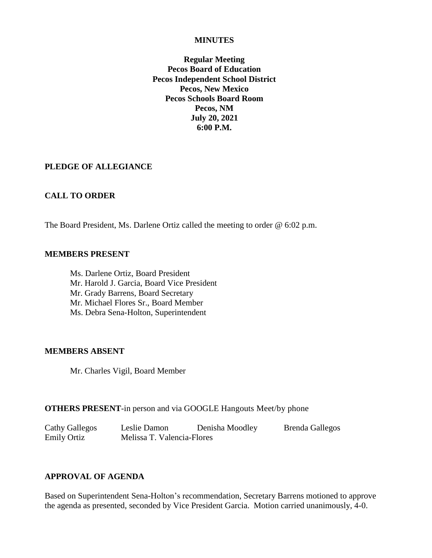#### **MINUTES**

**Regular Meeting Pecos Board of Education Pecos Independent School District Pecos, New Mexico Pecos Schools Board Room Pecos, NM July 20, 2021 6:00 P.M.**

## **PLEDGE OF ALLEGIANCE**

## **CALL TO ORDER**

The Board President, Ms. Darlene Ortiz called the meeting to order @ 6:02 p.m.

#### **MEMBERS PRESENT**

Ms. Darlene Ortiz, Board President Mr. Harold J. Garcia, Board Vice President Mr. Grady Barrens, Board Secretary Mr. Michael Flores Sr., Board Member Ms. Debra Sena-Holton, Superintendent

#### **MEMBERS ABSENT**

Mr. Charles Vigil, Board Member

## **OTHERS PRESENT**-in person and via GOOGLE [Hangouts Meet](https://meet.google.com/aox-kzjr-xbn?hs=122)[/by phone](tel:+1-708-762-8061)

Cathy Gallegos Leslie Damon Denisha Moodley Brenda Gallegos Emily Ortiz Melissa T. Valencia-Flores

# **APPROVAL OF AGENDA**

Based on Superintendent Sena-Holton's recommendation, Secretary Barrens motioned to approve the agenda as presented, seconded by Vice President Garcia. Motion carried unanimously, 4-0.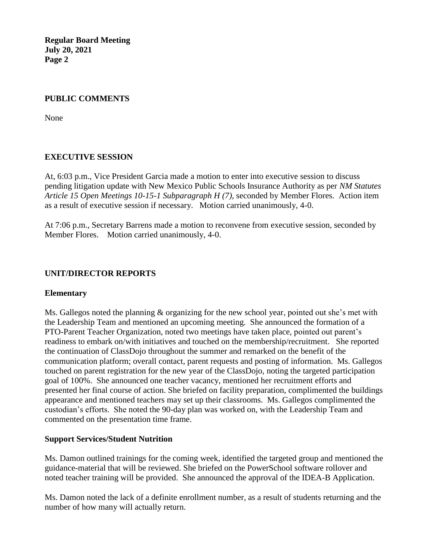## **PUBLIC COMMENTS**

None

## **EXECUTIVE SESSION**

At, 6:03 p.m., Vice President Garcia made a motion to enter into executive session to discuss pending litigation update with New Mexico Public Schools Insurance Authority as per *NM Statutes Article 15 Open Meetings 10-15-1 Subparagraph H (7),* seconded by Member Flores. Action item as a result of executive session if necessary. Motion carried unanimously, 4-0.

At 7:06 p.m., Secretary Barrens made a motion to reconvene from executive session, seconded by Member Flores. Motion carried unanimously, 4-0.

## **UNIT/DIRECTOR REPORTS**

## **Elementary**

Ms. Gallegos noted the planning & organizing for the new school year, pointed out she's met with the Leadership Team and mentioned an upcoming meeting. She announced the formation of a PTO-Parent Teacher Organization, noted two meetings have taken place, pointed out parent's readiness to embark on/with initiatives and touched on the membership/recruitment. She reported the continuation of ClassDojo throughout the summer and remarked on the benefit of the communication platform; overall contact, parent requests and posting of information. Ms. Gallegos touched on parent registration for the new year of the ClassDojo, noting the targeted participation goal of 100%. She announced one teacher vacancy, mentioned her recruitment efforts and presented her final course of action. She briefed on facility preparation, complimented the buildings appearance and mentioned teachers may set up their classrooms. Ms. Gallegos complimented the custodian's efforts. She noted the 90-day plan was worked on, with the Leadership Team and commented on the presentation time frame.

## **Support Services/Student Nutrition**

Ms. Damon outlined trainings for the coming week, identified the targeted group and mentioned the guidance-material that will be reviewed. She briefed on the PowerSchool software rollover and noted teacher training will be provided. She announced the approval of the IDEA-B Application.

Ms. Damon noted the lack of a definite enrollment number, as a result of students returning and the number of how many will actually return.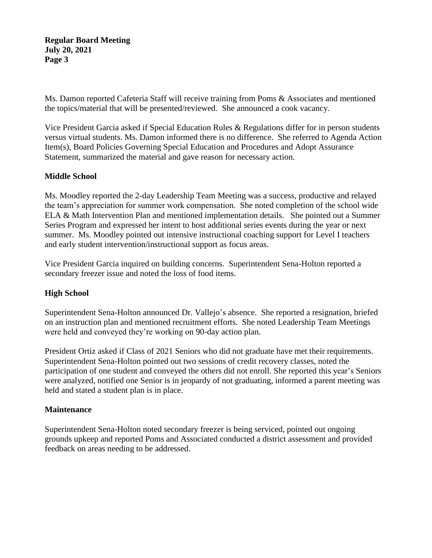Ms. Damon reported Cafeteria Staff will receive training from Poms & Associates and mentioned the topics/material that will be presented/reviewed. She announced a cook vacancy.

Vice President Garcia asked if Special Education Rules & Regulations differ for in person students versus virtual students. Ms. Damon informed there is no difference. She referred to Agenda Action Item(s), Board Policies Governing Special Education and Procedures and Adopt Assurance Statement, summarized the material and gave reason for necessary action.

# **Middle School**

Ms. Moodley reported the 2-day Leadership Team Meeting was a success, productive and relayed the team's appreciation for summer work compensation. She noted completion of the school wide ELA & Math Intervention Plan and mentioned implementation details. She pointed out a Summer Series Program and expressed her intent to host additional series events during the year or next summer. Ms. Moodley pointed out intensive instructional coaching support for Level I teachers and early student intervention/instructional support as focus areas.

Vice President Garcia inquired on building concerns. Superintendent Sena-Holton reported a secondary freezer issue and noted the loss of food items.

# **High School**

Superintendent Sena-Holton announced Dr. Vallejo's absence. She reported a resignation, briefed on an instruction plan and mentioned recruitment efforts. She noted Leadership Team Meetings were held and conveyed they're working on 90-day action plan.

President Ortiz asked if Class of 2021 Seniors who did not graduate have met their requirements. Superintendent Sena-Holton pointed out two sessions of credit recovery classes, noted the participation of one student and conveyed the others did not enroll. She reported this year's Seniors were analyzed, notified one Senior is in jeopardy of not graduating, informed a parent meeting was held and stated a student plan is in place.

## **Maintenance**

Superintendent Sena-Holton noted secondary freezer is being serviced, pointed out ongoing grounds upkeep and reported Poms and Associated conducted a district assessment and provided feedback on areas needing to be addressed.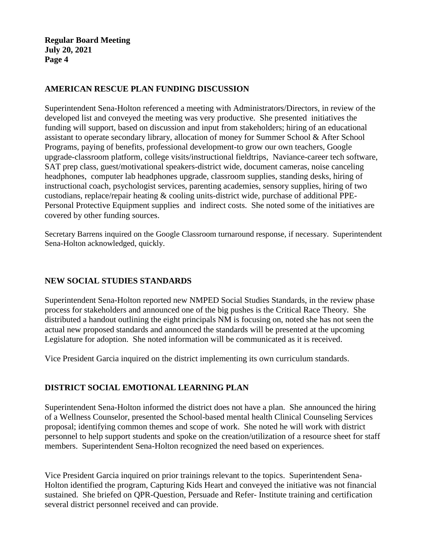## **AMERICAN RESCUE PLAN FUNDING DISCUSSION**

Superintendent Sena-Holton referenced a meeting with Administrators/Directors, in review of the developed list and conveyed the meeting was very productive. She presented initiatives the funding will support, based on discussion and input from stakeholders; hiring of an educational assistant to operate secondary library, allocation of money for Summer School & After School Programs, paying of benefits, professional development-to grow our own teachers, Google upgrade-classroom platform, college visits/instructional fieldtrips, Naviance-career tech software, SAT prep class, guest/motivational speakers-district wide, document cameras, noise canceling headphones, computer lab headphones upgrade, classroom supplies, standing desks, hiring of instructional coach, psychologist services, parenting academies, sensory supplies, hiring of two custodians, replace/repair heating & cooling units-district wide, purchase of additional PPE-Personal Protective Equipment supplies and indirect costs. She noted some of the initiatives are covered by other funding sources.

Secretary Barrens inquired on the Google Classroom turnaround response, if necessary. Superintendent Sena-Holton acknowledged, quickly.

# **NEW SOCIAL STUDIES STANDARDS**

Superintendent Sena-Holton reported new NMPED Social Studies Standards, in the review phase process for stakeholders and announced one of the big pushes is the Critical Race Theory. She distributed a handout outlining the eight principals NM is focusing on, noted she has not seen the actual new proposed standards and announced the standards will be presented at the upcoming Legislature for adoption. She noted information will be communicated as it is received.

Vice President Garcia inquired on the district implementing its own curriculum standards.

# **DISTRICT SOCIAL EMOTIONAL LEARNING PLAN**

Superintendent Sena-Holton informed the district does not have a plan. She announced the hiring of a Wellness Counselor, presented the School-based mental health Clinical Counseling Services proposal; identifying common themes and scope of work. She noted he will work with district personnel to help support students and spoke on the creation/utilization of a resource sheet for staff members. Superintendent Sena-Holton recognized the need based on experiences.

Vice President Garcia inquired on prior trainings relevant to the topics. Superintendent Sena-Holton identified the program, Capturing Kids Heart and conveyed the initiative was not financial sustained. She briefed on QPR-Question, Persuade and Refer- Institute training and certification several district personnel received and can provide.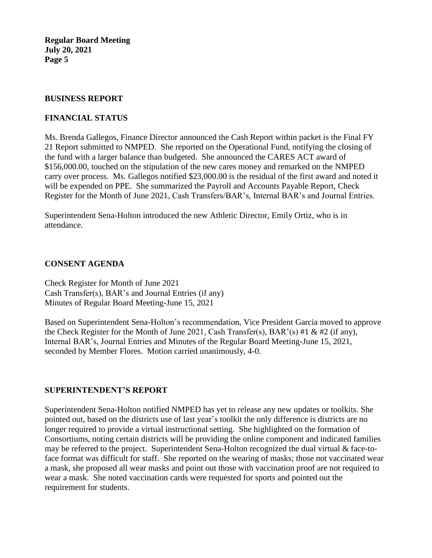#### **BUSINESS REPORT**

## **FINANCIAL STATUS**

Ms. Brenda Gallegos, Finance Director announced the Cash Report within packet is the Final FY 21 Report submitted to NMPED. She reported on the Operational Fund, notifying the closing of the fund with a larger balance than budgeted. She announced the CARES ACT award of \$156,000.00, touched on the stipulation of the new cares money and remarked on the NMPED carry over process. Ms. Gallegos notified \$23,000.00 is the residual of the first award and noted it will be expended on PPE. She summarized the Payroll and Accounts Payable Report, Check Register for the Month of June 2021, Cash Transfers/BAR's, Internal BAR's and Journal Entries.

Superintendent Sena-Holton introduced the new Athletic Director, Emily Ortiz, who is in attendance.

## **CONSENT AGENDA**

Check Register for Month of June 2021 Cash Transfer(s), BAR's and Journal Entries (if any) Minutes of Regular Board Meeting-June 15, 2021

Based on Superintendent Sena-Holton's recommendation, Vice President Garcia moved to approve the Check Register for the Month of June 2021, Cash Transfer(s), BAR'(s) #1 & #2 (if any), Internal BAR's, Journal Entries and Minutes of the Regular Board Meeting-June 15, 2021, seconded by Member Flores. Motion carried unanimously, 4-0.

## **SUPERINTENDENT'S REPORT**

Superintendent Sena-Holton notified NMPED has yet to release any new updates or toolkits. She pointed out, based on the districts use of last year's toolkit the only difference is districts are no longer required to provide a virtual instructional setting. She highlighted on the formation of Consortiums, noting certain districts will be providing the online component and indicated families may be referred to the project. Superintendent Sena-Holton recognized the dual virtual & face-toface format was difficult for staff. She reported on the wearing of masks; those not vaccinated wear a mask, she proposed all wear masks and point out those with vaccination proof are not required to wear a mask. She noted vaccination cards were requested for sports and pointed out the requirement for students.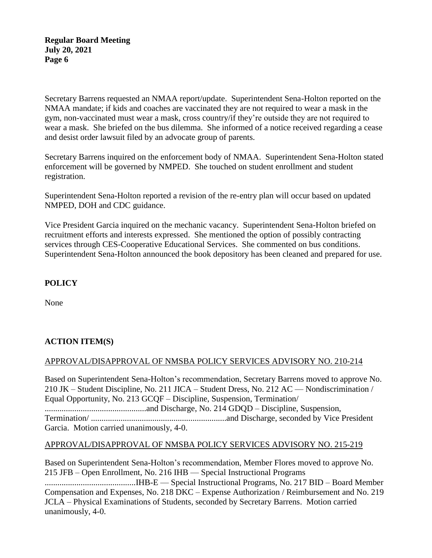Secretary Barrens requested an NMAA report/update. Superintendent Sena-Holton reported on the NMAA mandate; if kids and coaches are vaccinated they are not required to wear a mask in the gym, non-vaccinated must wear a mask, cross country/if they're outside they are not required to wear a mask. She briefed on the bus dilemma. She informed of a notice received regarding a cease and desist order lawsuit filed by an advocate group of parents.

Secretary Barrens inquired on the enforcement body of NMAA. Superintendent Sena-Holton stated enforcement will be governed by NMPED. She touched on student enrollment and student registration.

Superintendent Sena-Holton reported a revision of the re-entry plan will occur based on updated NMPED, DOH and CDC guidance.

Vice President Garcia inquired on the mechanic vacancy. Superintendent Sena-Holton briefed on recruitment efforts and interests expressed. She mentioned the option of possibly contracting services through CES-Cooperative Educational Services. She commented on bus conditions. Superintendent Sena-Holton announced the book depository has been cleaned and prepared for use.

# **POLICY**

None

# **ACTION ITEM(S)**

# APPROVAL/DISAPPROVAL OF NMSBA POLICY SERVICES ADVISORY NO. 210-214

Based on Superintendent Sena-Holton's recommendation, Secretary Barrens moved to approve No. 210 JK – Student Discipline, No. 211 JICA – Student Dress, No. 212 AC — Nondiscrimination / Equal Opportunity, No. 213 GCQF – Discipline, Suspension, Termination/ ................................................and Discharge, No. 214 GDQD – Discipline, Suspension, Termination/ ................................................................and Discharge, seconded by Vice President Garcia. Motion carried unanimously, 4-0.

## APPROVAL/DISAPPROVAL OF NMSBA POLICY SERVICES ADVISORY NO. 215-219

Based on Superintendent Sena-Holton's recommendation, Member Flores moved to approve No. 215 JFB – Open Enrollment, No. 216 IHB — Special Instructional Programs ...........................................IHB-E — Special Instructional Programs, No. 217 BID – Board Member Compensation and Expenses, No. 218 DKC – Expense Authorization / Reimbursement and No. 219 JCLA – Physical Examinations of Students, seconded by Secretary Barrens. Motion carried unanimously, 4-0.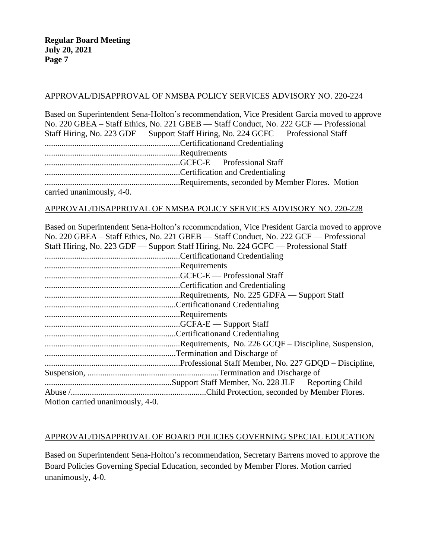## APPROVAL/DISAPPROVAL OF NMSBA POLICY SERVICES ADVISORY NO. 220-224

Based on Superintendent Sena-Holton's recommendation, Vice President Garcia moved to approve No. 220 GBEA – Staff Ethics, No. 221 GBEB — Staff Conduct, No. 222 GCF — Professional Staff Hiring, No. 223 GDF — Support Staff Hiring, No. 224 GCFC — Professional Staff ................................................................Certificationand Credentialing ................................................................Requirements ................................................................GCFC-E — Professional Staff ................................................................Certification and Credentialing ................................................................Requirements, seconded by Member Flores. Motion carried unanimously, 4-0.

## APPROVAL/DISAPPROVAL OF NMSBA POLICY SERVICES ADVISORY NO. 220-228

Based on Superintendent Sena-Holton's recommendation, Vice President Garcia moved to approve No. 220 GBEA – Staff Ethics, No. 221 GBEB — Staff Conduct, No. 222 GCF — Professional Staff Hiring, No. 223 GDF — Support Staff Hiring, No. 224 GCFC — Professional Staff ................................................................Certificationand Credentialing ................................................................Requirements ................................................................GCFC-E — Professional Staff ................................................................Certification and Credentialing ................................................................Requirements, No. 225 GDFA — Support Staff ..............................................................Certificationand Credentialing ................................................................Requirements ................................................................GCFA-E — Support Staff ..............................................................Certificationand Credentialing ................................................................Requirements, No. 226 GCQF – Discipline, Suspension, ..............................................................Termination and Discharge of ................................................................Professional Staff Member, No. 227 GDQD – Discipline, Suspension, ..............................................................Termination and Discharge of ............................................................Support Staff Member, No. 228 JLF — Reporting Child Abuse /................................................................Child Protection, seconded by Member Flores. Motion carried unanimously, 4-0.

# APPROVAL/DISAPPROVAL OF BOARD POLICIES GOVERNING SPECIAL EDUCATION

Based on Superintendent Sena-Holton's recommendation, Secretary Barrens moved to approve the Board Policies Governing Special Education, seconded by Member Flores. Motion carried unanimously, 4-0.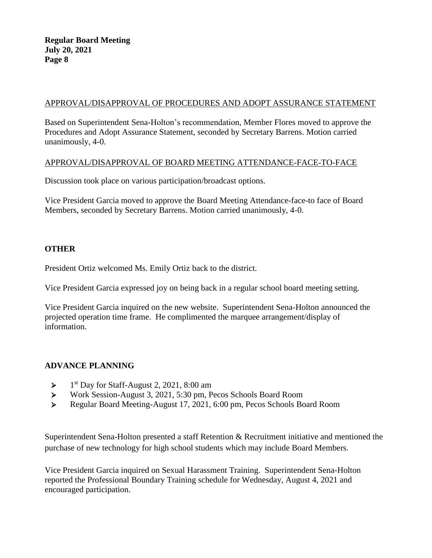# APPROVAL/DISAPPROVAL OF PROCEDURES AND ADOPT ASSURANCE STATEMENT

Based on Superintendent Sena-Holton's recommendation, Member Flores moved to approve the Procedures and Adopt Assurance Statement, seconded by Secretary Barrens. Motion carried unanimously, 4-0.

## APPROVAL/DISAPPROVAL OF BOARD MEETING ATTENDANCE-FACE-TO-FACE

Discussion took place on various participation/broadcast options.

Vice President Garcia moved to approve the Board Meeting Attendance-face-to face of Board Members, seconded by Secretary Barrens. Motion carried unanimously, 4-0.

# **OTHER**

President Ortiz welcomed Ms. Emily Ortiz back to the district.

Vice President Garcia expressed joy on being back in a regular school board meeting setting.

Vice President Garcia inquired on the new website. Superintendent Sena-Holton announced the projected operation time frame. He complimented the marquee arrangement/display of information.

## **ADVANCE PLANNING**

- $\blacktriangleright$ 1<sup>st</sup> Day for Staff-August 2, 2021, 8:00 am
- ➢ Work Session-August 3, 2021, 5:30 pm, Pecos Schools Board Room
- ➢ Regular Board Meeting-August 17, 2021, 6:00 pm, Pecos Schools Board Room

Superintendent Sena-Holton presented a staff Retention & Recruitment initiative and mentioned the purchase of new technology for high school students which may include Board Members.

Vice President Garcia inquired on Sexual Harassment Training. Superintendent Sena-Holton reported the Professional Boundary Training schedule for Wednesday, August 4, 2021 and encouraged participation.